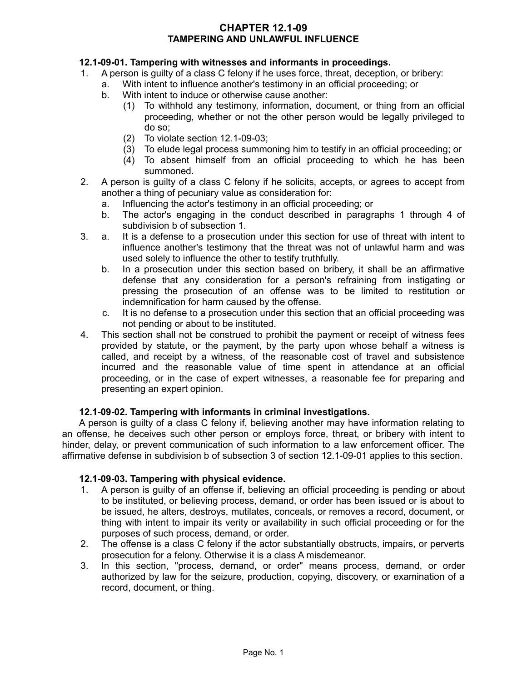## **CHAPTER 12.1-09 TAMPERING AND UNLAWFUL INFLUENCE**

## **12.1-09-01. Tampering with witnesses and informants in proceedings.**

- 1. A person is guilty of a class C felony if he uses force, threat, deception, or bribery:
	- a. With intent to influence another's testimony in an official proceeding; or
		- b. With intent to induce or otherwise cause another:
			- (1) To withhold any testimony, information, document, or thing from an official proceeding, whether or not the other person would be legally privileged to do so;
			- (2) To violate section 12.1-09-03;
			- (3) To elude legal process summoning him to testify in an official proceeding; or
			- (4) To absent himself from an official proceeding to which he has been summoned.
- 2. A person is guilty of a class C felony if he solicits, accepts, or agrees to accept from another a thing of pecuniary value as consideration for:
	- a. Influencing the actor's testimony in an official proceeding; or
	- b. The actor's engaging in the conduct described in paragraphs 1 through 4 of subdivision b of subsection 1.
- 3. a. It is a defense to a prosecution under this section for use of threat with intent to influence another's testimony that the threat was not of unlawful harm and was used solely to influence the other to testify truthfully.
	- b. In a prosecution under this section based on bribery, it shall be an affirmative defense that any consideration for a person's refraining from instigating or pressing the prosecution of an offense was to be limited to restitution or indemnification for harm caused by the offense.
	- c. It is no defense to a prosecution under this section that an official proceeding was not pending or about to be instituted.
- 4. This section shall not be construed to prohibit the payment or receipt of witness fees provided by statute, or the payment, by the party upon whose behalf a witness is called, and receipt by a witness, of the reasonable cost of travel and subsistence incurred and the reasonable value of time spent in attendance at an official proceeding, or in the case of expert witnesses, a reasonable fee for preparing and presenting an expert opinion.

## **12.1-09-02. Tampering with informants in criminal investigations.**

A person is guilty of a class C felony if, believing another may have information relating to an offense, he deceives such other person or employs force, threat, or bribery with intent to hinder, delay, or prevent communication of such information to a law enforcement officer. The affirmative defense in subdivision b of subsection 3 of section 12.1-09-01 applies to this section.

#### **12.1-09-03. Tampering with physical evidence.**

- 1. A person is guilty of an offense if, believing an official proceeding is pending or about to be instituted, or believing process, demand, or order has been issued or is about to be issued, he alters, destroys, mutilates, conceals, or removes a record, document, or thing with intent to impair its verity or availability in such official proceeding or for the purposes of such process, demand, or order.
- 2. The offense is a class C felony if the actor substantially obstructs, impairs, or perverts prosecution for a felony. Otherwise it is a class A misdemeanor.
- 3. In this section, "process, demand, or order" means process, demand, or order authorized by law for the seizure, production, copying, discovery, or examination of a record, document, or thing.